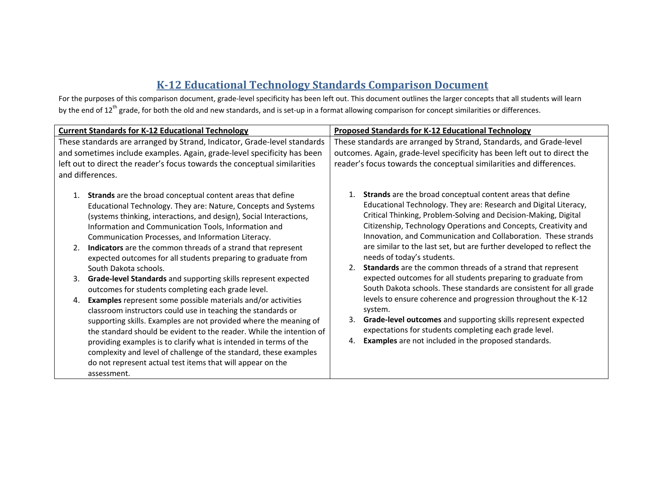## **K‐12 Educational Technology Standards Comparison Document**

For the purposes of this comparison document, grade‐level specificity has been left out. This document outlines the larger concepts that all students will learn by the end of 12<sup>th</sup> grade, for both the old and new standards, and is set-up in a format allowing comparison for concept similarities or differences.

| <b>Current Standards for K-12 Educational Technology</b>                                                                                                                                                                                                                                                                                                                                                                                                                                                                                                                                                                                                                                                                                                                                                                                                                                                                                                                                                                                                                                                                              | <b>Proposed Standards for K-12 Educational Technology</b>                                                                                                                                                                                                                                                                                                                                                                                                                                                                                                                                                                                                                                                                                                                                                                                                                                                                                            |
|---------------------------------------------------------------------------------------------------------------------------------------------------------------------------------------------------------------------------------------------------------------------------------------------------------------------------------------------------------------------------------------------------------------------------------------------------------------------------------------------------------------------------------------------------------------------------------------------------------------------------------------------------------------------------------------------------------------------------------------------------------------------------------------------------------------------------------------------------------------------------------------------------------------------------------------------------------------------------------------------------------------------------------------------------------------------------------------------------------------------------------------|------------------------------------------------------------------------------------------------------------------------------------------------------------------------------------------------------------------------------------------------------------------------------------------------------------------------------------------------------------------------------------------------------------------------------------------------------------------------------------------------------------------------------------------------------------------------------------------------------------------------------------------------------------------------------------------------------------------------------------------------------------------------------------------------------------------------------------------------------------------------------------------------------------------------------------------------------|
| These standards are arranged by Strand, Indicator, Grade-level standards                                                                                                                                                                                                                                                                                                                                                                                                                                                                                                                                                                                                                                                                                                                                                                                                                                                                                                                                                                                                                                                              | These standards are arranged by Strand, Standards, and Grade-level                                                                                                                                                                                                                                                                                                                                                                                                                                                                                                                                                                                                                                                                                                                                                                                                                                                                                   |
| and sometimes include examples. Again, grade-level specificity has been                                                                                                                                                                                                                                                                                                                                                                                                                                                                                                                                                                                                                                                                                                                                                                                                                                                                                                                                                                                                                                                               | outcomes. Again, grade-level specificity has been left out to direct the                                                                                                                                                                                                                                                                                                                                                                                                                                                                                                                                                                                                                                                                                                                                                                                                                                                                             |
| left out to direct the reader's focus towards the conceptual similarities                                                                                                                                                                                                                                                                                                                                                                                                                                                                                                                                                                                                                                                                                                                                                                                                                                                                                                                                                                                                                                                             | reader's focus towards the conceptual similarities and differences.                                                                                                                                                                                                                                                                                                                                                                                                                                                                                                                                                                                                                                                                                                                                                                                                                                                                                  |
| and differences.                                                                                                                                                                                                                                                                                                                                                                                                                                                                                                                                                                                                                                                                                                                                                                                                                                                                                                                                                                                                                                                                                                                      |                                                                                                                                                                                                                                                                                                                                                                                                                                                                                                                                                                                                                                                                                                                                                                                                                                                                                                                                                      |
| Strands are the broad conceptual content areas that define<br>1.<br>Educational Technology. They are: Nature, Concepts and Systems<br>(systems thinking, interactions, and design), Social Interactions,<br>Information and Communication Tools, Information and<br>Communication Processes, and Information Literacy.<br>Indicators are the common threads of a strand that represent<br>2.<br>expected outcomes for all students preparing to graduate from<br>South Dakota schools.<br>Grade-level Standards and supporting skills represent expected<br>3.<br>outcomes for students completing each grade level.<br><b>Examples</b> represent some possible materials and/or activities<br>4.<br>classroom instructors could use in teaching the standards or<br>supporting skills. Examples are not provided where the meaning of<br>the standard should be evident to the reader. While the intention of<br>providing examples is to clarify what is intended in terms of the<br>complexity and level of challenge of the standard, these examples<br>do not represent actual test items that will appear on the<br>assessment. | <b>Strands</b> are the broad conceptual content areas that define<br>1.<br>Educational Technology. They are: Research and Digital Literacy,<br>Critical Thinking, Problem-Solving and Decision-Making, Digital<br>Citizenship, Technology Operations and Concepts, Creativity and<br>Innovation, and Communication and Collaboration. These strands<br>are similar to the last set, but are further developed to reflect the<br>needs of today's students.<br><b>Standards</b> are the common threads of a strand that represent<br>expected outcomes for all students preparing to graduate from<br>South Dakota schools. These standards are consistent for all grade<br>levels to ensure coherence and progression throughout the K-12<br>system.<br>Grade-level outcomes and supporting skills represent expected<br>expectations for students completing each grade level.<br><b>Examples</b> are not included in the proposed standards.<br>4. |